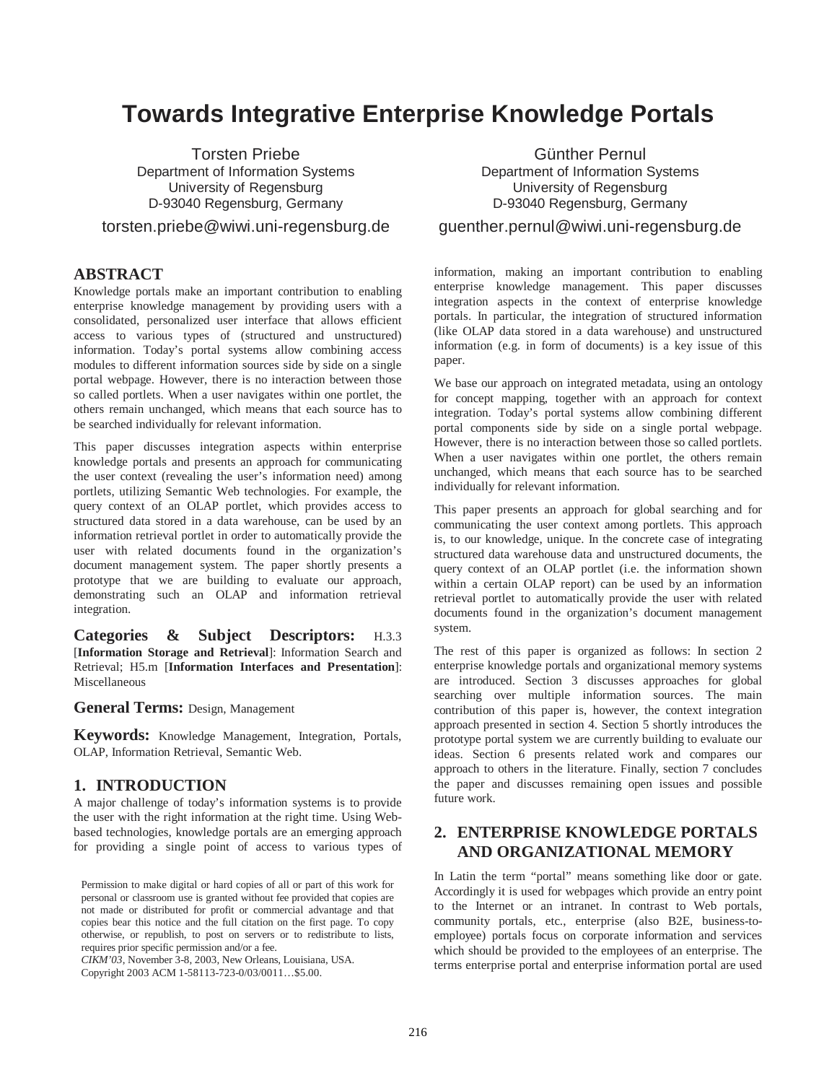# **Towards Integrative Enterprise Knowledge Portals**

Torsten Priebe Department of Information Systems University of Regensburg D-93040 Regensburg, Germany

torsten.priebe@wiwi.uni-regensburg.de

## **ABSTRACT**

Knowledge portals make an important contribution to enabling enterprise knowledge management by providing users with a consolidated, personalized user interface that allows efficient access to various types of (structured and unstructured) information. Today's portal systems allow combining access modules to different information sources side by side on a single portal webpage. However, there is no interaction between those so called portlets. When a user navigates within one portlet, the others remain unchanged, which means that each source has to be searched individually for relevant information.

This paper discusses integration aspects within enterprise knowledge portals and presents an approach for communicating the user context (revealing the user's information need) among portlets, utilizing Semantic Web technologies. For example, the query context of an OLAP portlet, which provides access to structured data stored in a data warehouse, can be used by an information retrieval portlet in order to automatically provide the user with related documents found in the organization's document management system. The paper shortly presents a prototype that we are building to evaluate our approach, demonstrating such an OLAP and information retrieval integration.

**Categories & Subject Descriptors:** H.3.3 [**Information Storage and Retrieval**]: Information Search and Retrieval; H5.m [**Information Interfaces and Presentation**]: Miscellaneous

#### **General Terms:** Design, Management

**Keywords:** Knowledge Management, Integration, Portals, OLAP, Information Retrieval, Semantic Web.

#### **1. INTRODUCTION**

A major challenge of today's information systems is to provide the user with the right information at the right time. Using Webbased technologies, knowledge portals are an emerging approach for providing a single point of access to various types of

*CIKM'03*, November 3-8, 2003, New Orleans, Louisiana, USA. Copyright 2003 ACM 1-58113-723-0/03/0011…\$5.00.

Günther Pernul Department of Information Systems University of Regensburg D-93040 Regensburg, Germany

## guenther.pernul@wiwi.uni-regensburg.de

information, making an important contribution to enabling enterprise knowledge management. This paper discusses integration aspects in the context of enterprise knowledge portals. In particular, the integration of structured information (like OLAP data stored in a data warehouse) and unstructured information (e.g. in form of documents) is a key issue of this paper.

We base our approach on integrated metadata, using an ontology for concept mapping, together with an approach for context integration. Today's portal systems allow combining different portal components side by side on a single portal webpage. However, there is no interaction between those so called portlets. When a user navigates within one portlet, the others remain unchanged, which means that each source has to be searched individually for relevant information.

This paper presents an approach for global searching and for communicating the user context among portlets. This approach is, to our knowledge, unique. In the concrete case of integrating structured data warehouse data and unstructured documents, the query context of an OLAP portlet (i.e. the information shown within a certain OLAP report) can be used by an information retrieval portlet to automatically provide the user with related documents found in the organization's document management system.

The rest of this paper is organized as follows: In section 2 enterprise knowledge portals and organizational memory systems are introduced. Section 3 discusses approaches for global searching over multiple information sources. The main contribution of this paper is, however, the context integration approach presented in section 4. Section 5 shortly introduces the prototype portal system we are currently building to evaluate our ideas. Section 6 presents related work and compares our approach to others in the literature. Finally, section 7 concludes the paper and discusses remaining open issues and possible future work.

# **2. ENTERPRISE KNOWLEDGE PORTALS AND ORGANIZATIONAL MEMORY**

In Latin the term "portal" means something like door or gate. Accordingly it is used for webpages which provide an entry point to the Internet or an intranet. In contrast to Web portals, community portals, etc., enterprise (also B2E, business-toemployee) portals focus on corporate information and services which should be provided to the employees of an enterprise. The terms enterprise portal and enterprise information portal are used

Permission to make digital or hard copies of all or part of this work for personal or classroom use is granted without fee provided that copies are not made or distributed for profit or commercial advantage and that copies bear this notice and the full citation on the first page. To copy otherwise, or republish, to post on servers or to redistribute to lists, requires prior specific permission and/or a fee.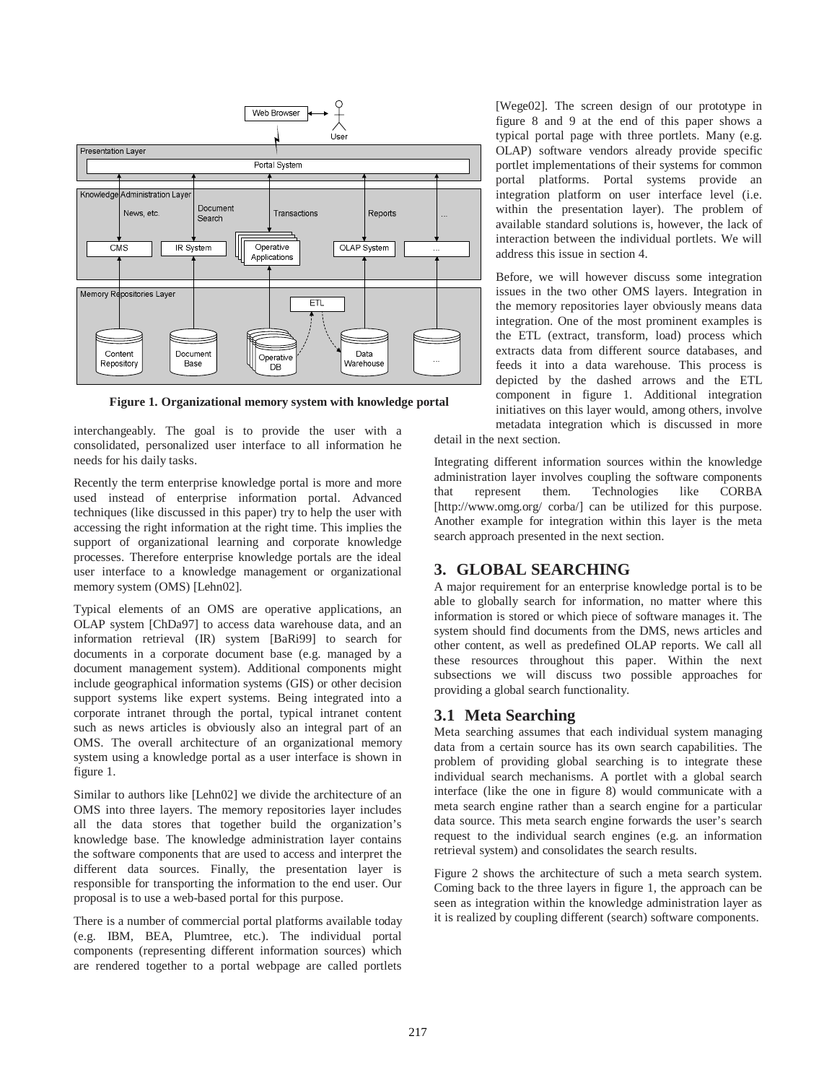

**Figure 1. Organizational memory system with knowledge portal** 

interchangeably. The goal is to provide the user with a consolidated, personalized user interface to all information he needs for his daily tasks.

Recently the term enterprise knowledge portal is more and more used instead of enterprise information portal. Advanced techniques (like discussed in this paper) try to help the user with accessing the right information at the right time. This implies the support of organizational learning and corporate knowledge processes. Therefore enterprise knowledge portals are the ideal user interface to a knowledge management or organizational memory system (OMS) [Lehn02].

Typical elements of an OMS are operative applications, an OLAP system [ChDa97] to access data warehouse data, and an information retrieval (IR) system [BaRi99] to search for documents in a corporate document base (e.g. managed by a document management system). Additional components might include geographical information systems (GIS) or other decision support systems like expert systems. Being integrated into a corporate intranet through the portal, typical intranet content such as news articles is obviously also an integral part of an OMS. The overall architecture of an organizational memory system using a knowledge portal as a user interface is shown in figure 1.

Similar to authors like [Lehn02] we divide the architecture of an OMS into three layers. The memory repositories layer includes all the data stores that together build the organization's knowledge base. The knowledge administration layer contains the software components that are used to access and interpret the different data sources. Finally, the presentation layer is responsible for transporting the information to the end user. Our proposal is to use a web-based portal for this purpose.

There is a number of commercial portal platforms available today (e.g. IBM, BEA, Plumtree, etc.). The individual portal components (representing different information sources) which are rendered together to a portal webpage are called portlets

[Wege02]. The screen design of our prototype in figure 8 and 9 at the end of this paper shows a typical portal page with three portlets. Many (e.g. OLAP) software vendors already provide specific portlet implementations of their systems for common portal platforms. Portal systems provide an integration platform on user interface level (i.e. within the presentation layer). The problem of available standard solutions is, however, the lack of interaction between the individual portlets. We will address this issue in section 4.

Before, we will however discuss some integration issues in the two other OMS layers. Integration in the memory repositories layer obviously means data integration. One of the most prominent examples is the ETL (extract, transform, load) process which extracts data from different source databases, and feeds it into a data warehouse. This process is depicted by the dashed arrows and the ETL component in figure 1. Additional integration initiatives on this layer would, among others, involve metadata integration which is discussed in more

detail in the next section.

Integrating different information sources within the knowledge administration layer involves coupling the software components that represent them. Technologies like CORBA [http://www.omg.org/ corba/] can be utilized for this purpose. Another example for integration within this layer is the meta search approach presented in the next section.

## **3. GLOBAL SEARCHING**

A major requirement for an enterprise knowledge portal is to be able to globally search for information, no matter where this information is stored or which piece of software manages it. The system should find documents from the DMS, news articles and other content, as well as predefined OLAP reports. We call all these resources throughout this paper. Within the next subsections we will discuss two possible approaches for providing a global search functionality.

## **3.1 Meta Searching**

Meta searching assumes that each individual system managing data from a certain source has its own search capabilities. The problem of providing global searching is to integrate these individual search mechanisms. A portlet with a global search interface (like the one in figure 8) would communicate with a meta search engine rather than a search engine for a particular data source. This meta search engine forwards the user's search request to the individual search engines (e.g. an information retrieval system) and consolidates the search results.

Figure 2 shows the architecture of such a meta search system. Coming back to the three layers in figure 1, the approach can be seen as integration within the knowledge administration layer as it is realized by coupling different (search) software components.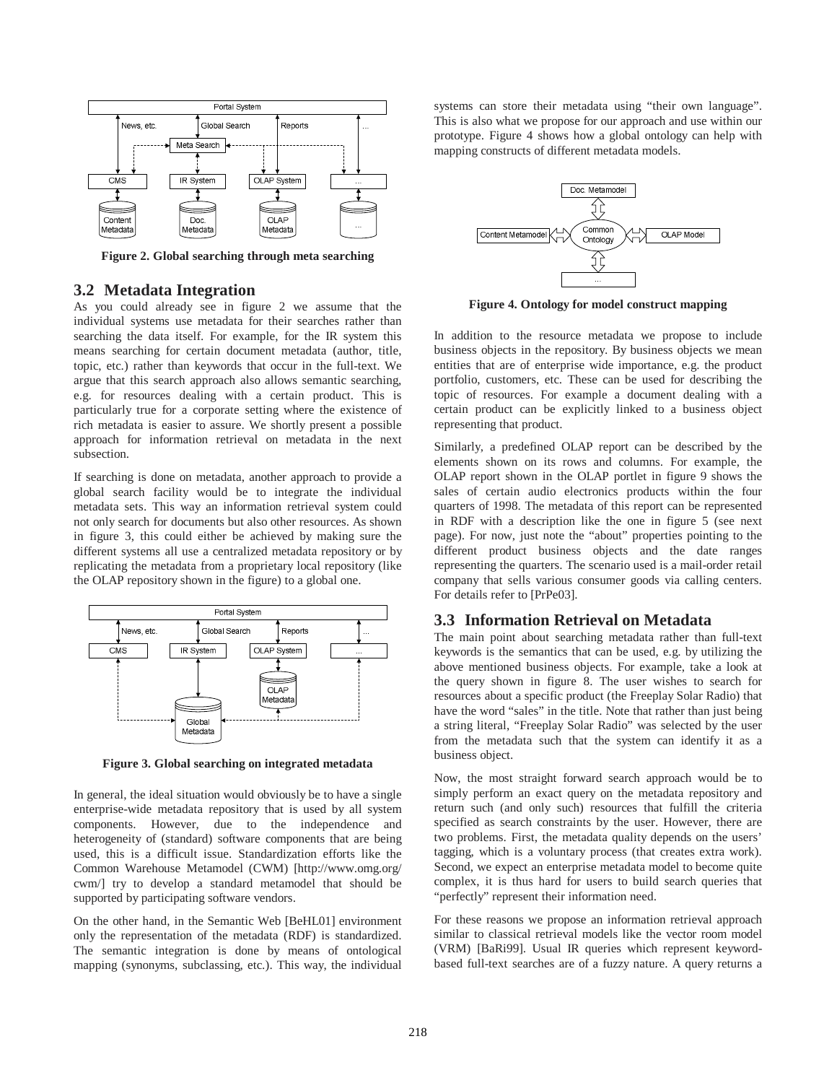

**Figure 2. Global searching through meta searching** 

#### **3.2 Metadata Integration**

As you could already see in figure 2 we assume that the individual systems use metadata for their searches rather than searching the data itself. For example, for the IR system this means searching for certain document metadata (author, title, topic, etc.) rather than keywords that occur in the full-text. We argue that this search approach also allows semantic searching, e.g. for resources dealing with a certain product. This is particularly true for a corporate setting where the existence of rich metadata is easier to assure. We shortly present a possible approach for information retrieval on metadata in the next subsection.

If searching is done on metadata, another approach to provide a global search facility would be to integrate the individual metadata sets. This way an information retrieval system could not only search for documents but also other resources. As shown in figure 3, this could either be achieved by making sure the different systems all use a centralized metadata repository or by replicating the metadata from a proprietary local repository (like the OLAP repository shown in the figure) to a global one.



**Figure 3. Global searching on integrated metadata** 

In general, the ideal situation would obviously be to have a single enterprise-wide metadata repository that is used by all system components. However, due to the independence and heterogeneity of (standard) software components that are being used, this is a difficult issue. Standardization efforts like the Common Warehouse Metamodel (CWM) [http://www.omg.org/ cwm/] try to develop a standard metamodel that should be supported by participating software vendors.

On the other hand, in the Semantic Web [BeHL01] environment only the representation of the metadata (RDF) is standardized. The semantic integration is done by means of ontological mapping (synonyms, subclassing, etc.). This way, the individual

systems can store their metadata using "their own language". This is also what we propose for our approach and use within our prototype. Figure 4 shows how a global ontology can help with mapping constructs of different metadata models.



**Figure 4. Ontology for model construct mapping** 

In addition to the resource metadata we propose to include business objects in the repository. By business objects we mean entities that are of enterprise wide importance, e.g. the product portfolio, customers, etc. These can be used for describing the topic of resources. For example a document dealing with a certain product can be explicitly linked to a business object representing that product.

Similarly, a predefined OLAP report can be described by the elements shown on its rows and columns. For example, the OLAP report shown in the OLAP portlet in figure 9 shows the sales of certain audio electronics products within the four quarters of 1998. The metadata of this report can be represented in RDF with a description like the one in figure 5 (see next page). For now, just note the "about" properties pointing to the different product business objects and the date ranges representing the quarters. The scenario used is a mail-order retail company that sells various consumer goods via calling centers. For details refer to [PrPe03].

#### **3.3 Information Retrieval on Metadata**

The main point about searching metadata rather than full-text keywords is the semantics that can be used, e.g. by utilizing the above mentioned business objects. For example, take a look at the query shown in figure 8. The user wishes to search for resources about a specific product (the Freeplay Solar Radio) that have the word "sales" in the title. Note that rather than just being a string literal, "Freeplay Solar Radio" was selected by the user from the metadata such that the system can identify it as a business object.

Now, the most straight forward search approach would be to simply perform an exact query on the metadata repository and return such (and only such) resources that fulfill the criteria specified as search constraints by the user. However, there are two problems. First, the metadata quality depends on the users' tagging, which is a voluntary process (that creates extra work). Second, we expect an enterprise metadata model to become quite complex, it is thus hard for users to build search queries that "perfectly" represent their information need.

For these reasons we propose an information retrieval approach similar to classical retrieval models like the vector room model (VRM) [BaRi99]. Usual IR queries which represent keywordbased full-text searches are of a fuzzy nature. A query returns a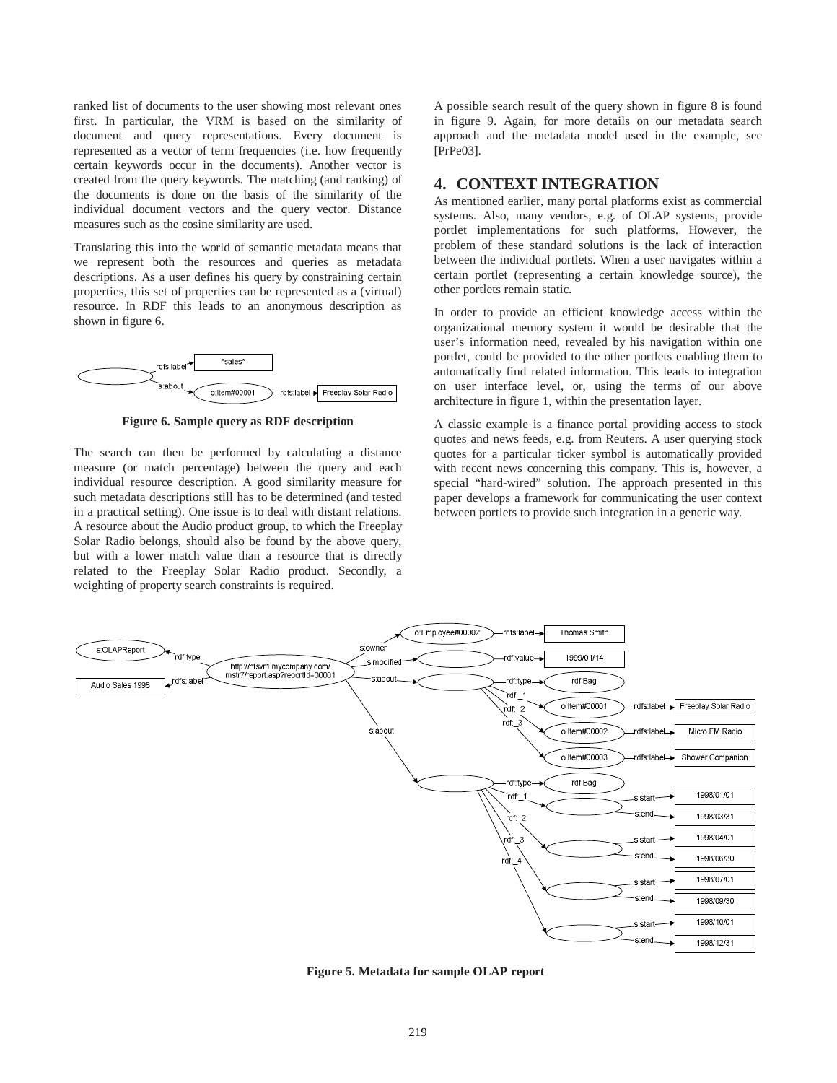ranked list of documents to the user showing most relevant ones first. In particular, the VRM is based on the similarity of document and query representations. Every document is represented as a vector of term frequencies (i.e. how frequently certain keywords occur in the documents). Another vector is created from the query keywords. The matching (and ranking) of the documents is done on the basis of the similarity of the individual document vectors and the query vector. Distance measures such as the cosine similarity are used.

Translating this into the world of semantic metadata means that we represent both the resources and queries as metadata descriptions. As a user defines his query by constraining certain properties, this set of properties can be represented as a (virtual) resource. In RDF this leads to an anonymous description as shown in figure 6.



**Figure 6. Sample query as RDF description** 

The search can then be performed by calculating a distance measure (or match percentage) between the query and each individual resource description. A good similarity measure for such metadata descriptions still has to be determined (and tested in a practical setting). One issue is to deal with distant relations. A resource about the Audio product group, to which the Freeplay Solar Radio belongs, should also be found by the above query, but with a lower match value than a resource that is directly related to the Freeplay Solar Radio product. Secondly, a weighting of property search constraints is required.

A possible search result of the query shown in figure 8 is found in figure 9. Again, for more details on our metadata search approach and the metadata model used in the example, see [PrPe03].

#### **4. CONTEXT INTEGRATION**

As mentioned earlier, many portal platforms exist as commercial systems. Also, many vendors, e.g. of OLAP systems, provide portlet implementations for such platforms. However, the problem of these standard solutions is the lack of interaction between the individual portlets. When a user navigates within a certain portlet (representing a certain knowledge source), the other portlets remain static.

In order to provide an efficient knowledge access within the organizational memory system it would be desirable that the user's information need, revealed by his navigation within one portlet, could be provided to the other portlets enabling them to automatically find related information. This leads to integration on user interface level, or, using the terms of our above architecture in figure 1, within the presentation layer.

A classic example is a finance portal providing access to stock quotes and news feeds, e.g. from Reuters. A user querying stock quotes for a particular ticker symbol is automatically provided with recent news concerning this company. This is, however, a special "hard-wired" solution. The approach presented in this paper develops a framework for communicating the user context between portlets to provide such integration in a generic way.



**Figure 5. Metadata for sample OLAP report**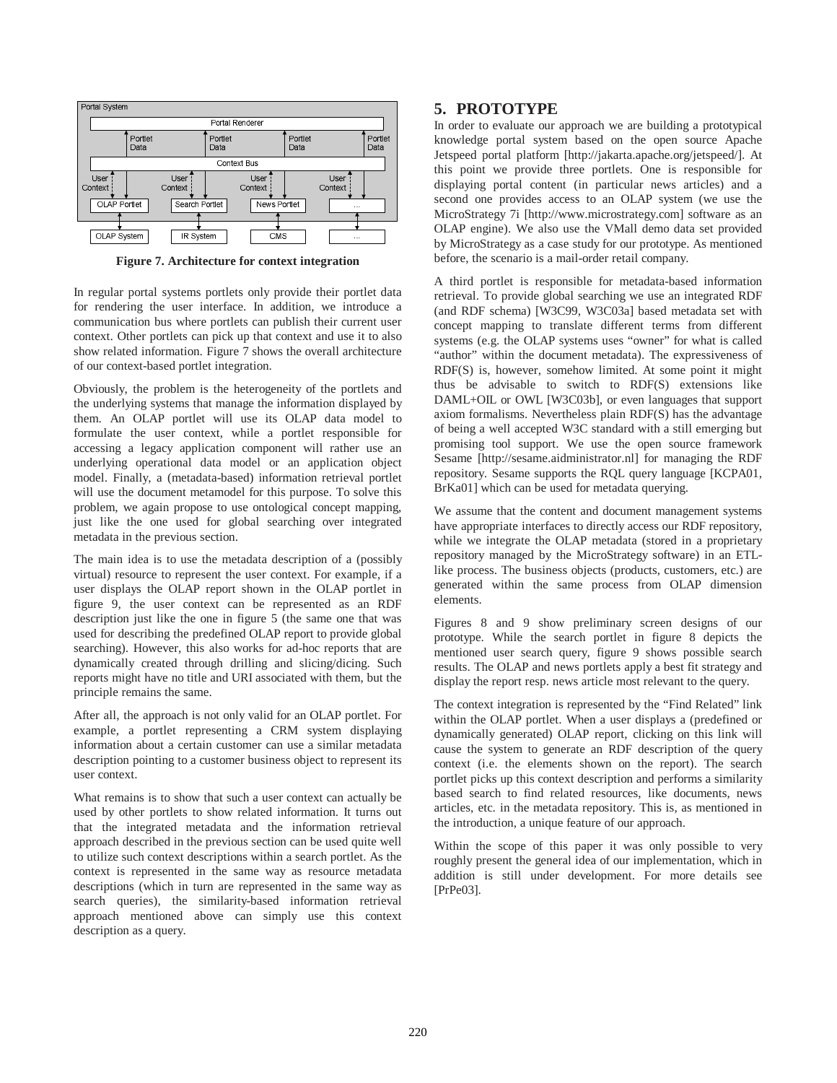

**Figure 7. Architecture for context integration** 

In regular portal systems portlets only provide their portlet data for rendering the user interface. In addition, we introduce a communication bus where portlets can publish their current user context. Other portlets can pick up that context and use it to also show related information. Figure 7 shows the overall architecture of our context-based portlet integration.

Obviously, the problem is the heterogeneity of the portlets and the underlying systems that manage the information displayed by them. An OLAP portlet will use its OLAP data model to formulate the user context, while a portlet responsible for accessing a legacy application component will rather use an underlying operational data model or an application object model. Finally, a (metadata-based) information retrieval portlet will use the document metamodel for this purpose. To solve this problem, we again propose to use ontological concept mapping, just like the one used for global searching over integrated metadata in the previous section.

The main idea is to use the metadata description of a (possibly virtual) resource to represent the user context. For example, if a user displays the OLAP report shown in the OLAP portlet in figure 9, the user context can be represented as an RDF description just like the one in figure 5 (the same one that was used for describing the predefined OLAP report to provide global searching). However, this also works for ad-hoc reports that are dynamically created through drilling and slicing/dicing. Such reports might have no title and URI associated with them, but the principle remains the same.

After all, the approach is not only valid for an OLAP portlet. For example, a portlet representing a CRM system displaying information about a certain customer can use a similar metadata description pointing to a customer business object to represent its user context.

What remains is to show that such a user context can actually be used by other portlets to show related information. It turns out that the integrated metadata and the information retrieval approach described in the previous section can be used quite well to utilize such context descriptions within a search portlet. As the context is represented in the same way as resource metadata descriptions (which in turn are represented in the same way as search queries), the similarity-based information retrieval approach mentioned above can simply use this context description as a query.

# **5. PROTOTYPE**

In order to evaluate our approach we are building a prototypical knowledge portal system based on the open source Apache Jetspeed portal platform [http://jakarta.apache.org/jetspeed/]. At this point we provide three portlets. One is responsible for displaying portal content (in particular news articles) and a second one provides access to an OLAP system (we use the MicroStrategy 7i [http://www.microstrategy.com] software as an OLAP engine). We also use the VMall demo data set provided by MicroStrategy as a case study for our prototype. As mentioned before, the scenario is a mail-order retail company.

A third portlet is responsible for metadata-based information retrieval. To provide global searching we use an integrated RDF (and RDF schema) [W3C99, W3C03a] based metadata set with concept mapping to translate different terms from different systems (e.g. the OLAP systems uses "owner" for what is called "author" within the document metadata). The expressiveness of RDF(S) is, however, somehow limited. At some point it might thus be advisable to switch to RDF(S) extensions like DAML+OIL or OWL [W3C03b], or even languages that support axiom formalisms. Nevertheless plain RDF(S) has the advantage of being a well accepted W3C standard with a still emerging but promising tool support. We use the open source framework Sesame [http://sesame.aidministrator.nl] for managing the RDF repository. Sesame supports the RQL query language [KCPA01, BrKa01] which can be used for metadata querying.

We assume that the content and document management systems have appropriate interfaces to directly access our RDF repository, while we integrate the OLAP metadata (stored in a proprietary repository managed by the MicroStrategy software) in an ETLlike process. The business objects (products, customers, etc.) are generated within the same process from OLAP dimension elements.

Figures 8 and 9 show preliminary screen designs of our prototype. While the search portlet in figure 8 depicts the mentioned user search query, figure 9 shows possible search results. The OLAP and news portlets apply a best fit strategy and display the report resp. news article most relevant to the query.

The context integration is represented by the "Find Related" link within the OLAP portlet. When a user displays a (predefined or dynamically generated) OLAP report, clicking on this link will cause the system to generate an RDF description of the query context (i.e. the elements shown on the report). The search portlet picks up this context description and performs a similarity based search to find related resources, like documents, news articles, etc. in the metadata repository. This is, as mentioned in the introduction, a unique feature of our approach.

Within the scope of this paper it was only possible to very roughly present the general idea of our implementation, which in addition is still under development. For more details see [PrPe03].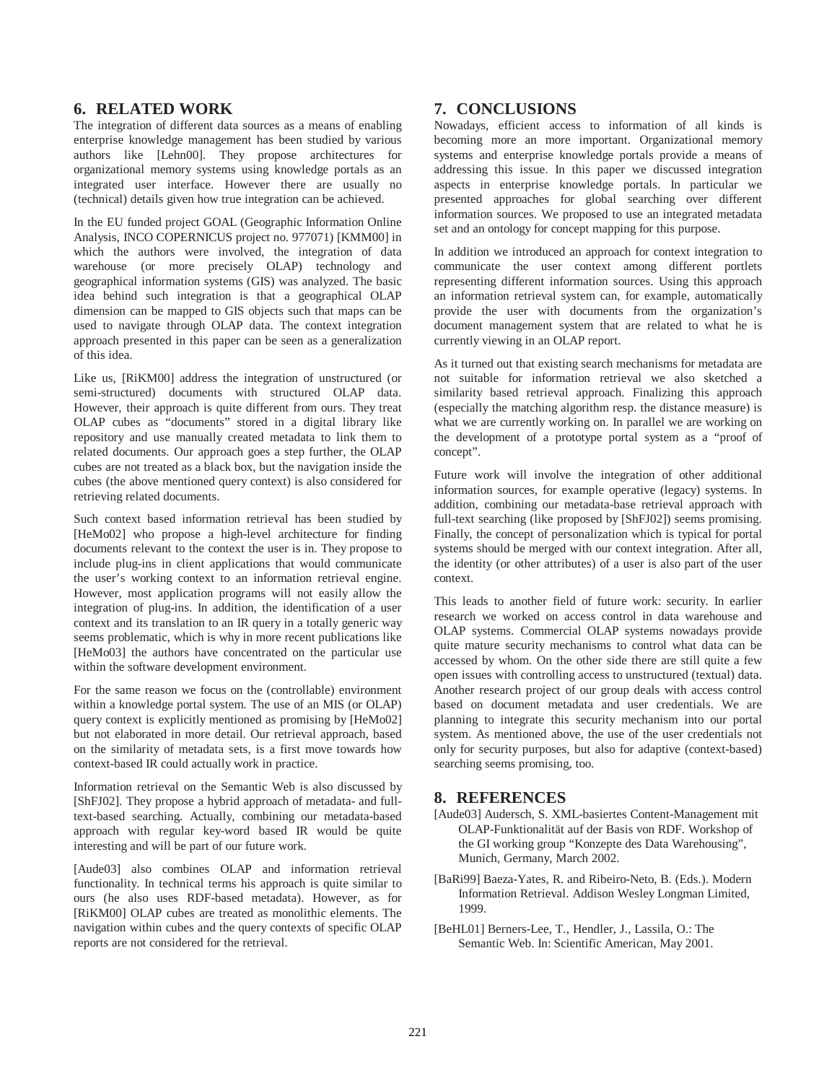## **6. RELATED WORK**

The integration of different data sources as a means of enabling enterprise knowledge management has been studied by various authors like [Lehn00]. They propose architectures for organizational memory systems using knowledge portals as an integrated user interface. However there are usually no (technical) details given how true integration can be achieved.

In the EU funded project GOAL (Geographic Information Online Analysis, INCO COPERNICUS project no. 977071) [KMM00] in which the authors were involved, the integration of data warehouse (or more precisely OLAP) technology and geographical information systems (GIS) was analyzed. The basic idea behind such integration is that a geographical OLAP dimension can be mapped to GIS objects such that maps can be used to navigate through OLAP data. The context integration approach presented in this paper can be seen as a generalization of this idea.

Like us, [RiKM00] address the integration of unstructured (or semi-structured) documents with structured OLAP data. However, their approach is quite different from ours. They treat OLAP cubes as "documents" stored in a digital library like repository and use manually created metadata to link them to related documents. Our approach goes a step further, the OLAP cubes are not treated as a black box, but the navigation inside the cubes (the above mentioned query context) is also considered for retrieving related documents.

Such context based information retrieval has been studied by [HeMo02] who propose a high-level architecture for finding documents relevant to the context the user is in. They propose to include plug-ins in client applications that would communicate the user's working context to an information retrieval engine. However, most application programs will not easily allow the integration of plug-ins. In addition, the identification of a user context and its translation to an IR query in a totally generic way seems problematic, which is why in more recent publications like [HeMo03] the authors have concentrated on the particular use within the software development environment.

For the same reason we focus on the (controllable) environment within a knowledge portal system. The use of an MIS (or OLAP) query context is explicitly mentioned as promising by [HeMo02] but not elaborated in more detail. Our retrieval approach, based on the similarity of metadata sets, is a first move towards how context-based IR could actually work in practice.

Information retrieval on the Semantic Web is also discussed by [ShFJ02]. They propose a hybrid approach of metadata- and fulltext-based searching. Actually, combining our metadata-based approach with regular key-word based IR would be quite interesting and will be part of our future work.

[Aude03] also combines OLAP and information retrieval functionality. In technical terms his approach is quite similar to ours (he also uses RDF-based metadata). However, as for [RiKM00] OLAP cubes are treated as monolithic elements. The navigation within cubes and the query contexts of specific OLAP reports are not considered for the retrieval.

# **7. CONCLUSIONS**

Nowadays, efficient access to information of all kinds is becoming more an more important. Organizational memory systems and enterprise knowledge portals provide a means of addressing this issue. In this paper we discussed integration aspects in enterprise knowledge portals. In particular we presented approaches for global searching over different information sources. We proposed to use an integrated metadata set and an ontology for concept mapping for this purpose.

In addition we introduced an approach for context integration to communicate the user context among different portlets representing different information sources. Using this approach an information retrieval system can, for example, automatically provide the user with documents from the organization's document management system that are related to what he is currently viewing in an OLAP report.

As it turned out that existing search mechanisms for metadata are not suitable for information retrieval we also sketched a similarity based retrieval approach. Finalizing this approach (especially the matching algorithm resp. the distance measure) is what we are currently working on. In parallel we are working on the development of a prototype portal system as a "proof of concept".

Future work will involve the integration of other additional information sources, for example operative (legacy) systems. In addition, combining our metadata-base retrieval approach with full-text searching (like proposed by [ShFJ02]) seems promising. Finally, the concept of personalization which is typical for portal systems should be merged with our context integration. After all, the identity (or other attributes) of a user is also part of the user context.

This leads to another field of future work: security. In earlier research we worked on access control in data warehouse and OLAP systems. Commercial OLAP systems nowadays provide quite mature security mechanisms to control what data can be accessed by whom. On the other side there are still quite a few open issues with controlling access to unstructured (textual) data. Another research project of our group deals with access control based on document metadata and user credentials. We are planning to integrate this security mechanism into our portal system. As mentioned above, the use of the user credentials not only for security purposes, but also for adaptive (context-based) searching seems promising, too.

## **8. REFERENCES**

- [Aude03] Audersch, S. XML-basiertes Content-Management mit OLAP-Funktionalität auf der Basis von RDF. Workshop of the GI working group "Konzepte des Data Warehousing", Munich, Germany, March 2002.
- [BaRi99] Baeza-Yates, R. and Ribeiro-Neto, B. (Eds.). Modern Information Retrieval. Addison Wesley Longman Limited, 1999.
- [BeHL01] Berners-Lee, T., Hendler, J., Lassila, O.: The Semantic Web. In: Scientific American, May 2001.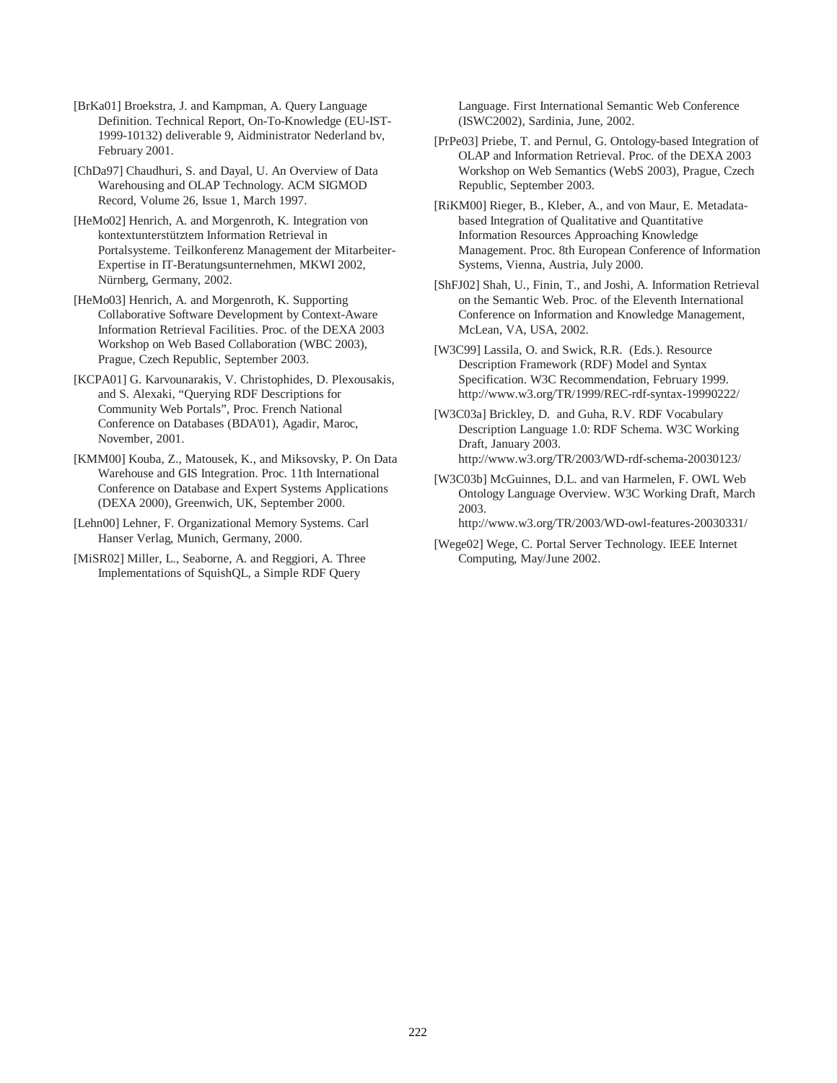[BrKa01] Broekstra, J. and Kampman, A. Query Language Definition. Technical Report, On-To-Knowledge (EU-IST-1999-10132) deliverable 9, Aidministrator Nederland bv, February 2001.

[ChDa97] Chaudhuri, S. and Dayal, U. An Overview of Data Warehousing and OLAP Technology. ACM SIGMOD Record, Volume 26, Issue 1, March 1997.

[HeMo02] Henrich, A. and Morgenroth, K. Integration von kontextunterstütztem Information Retrieval in Portalsysteme. Teilkonferenz Management der Mitarbeiter-Expertise in IT-Beratungsunternehmen, MKWI 2002, Nürnberg, Germany, 2002.

[HeMo03] Henrich, A. and Morgenroth, K. Supporting Collaborative Software Development by Context-Aware Information Retrieval Facilities. Proc. of the DEXA 2003 Workshop on Web Based Collaboration (WBC 2003), Prague, Czech Republic, September 2003.

[KCPA01] G. Karvounarakis, V. Christophides, D. Plexousakis, and S. Alexaki, "Querying RDF Descriptions for Community Web Portals", Proc. French National Conference on Databases (BDA'01), Agadir, Maroc, November, 2001.

[KMM00] Kouba, Z., Matousek, K., and Miksovsky, P. On Data Warehouse and GIS Integration. Proc. 11th International Conference on Database and Expert Systems Applications (DEXA 2000), Greenwich, UK, September 2000.

[Lehn00] Lehner, F. Organizational Memory Systems. Carl Hanser Verlag, Munich, Germany, 2000.

[MiSR02] Miller, L., Seaborne, A. and Reggiori, A. Three Implementations of SquishQL, a Simple RDF Query

Language. First International Semantic Web Conference (ISWC2002), Sardinia, June, 2002.

[PrPe03] Priebe, T. and Pernul, G. Ontology-based Integration of OLAP and Information Retrieval. Proc. of the DEXA 2003 Workshop on Web Semantics (WebS 2003), Prague, Czech Republic, September 2003.

[RiKM00] Rieger, B., Kleber, A., and von Maur, E. Metadatabased Integration of Qualitative and Quantitative Information Resources Approaching Knowledge Management. Proc. 8th European Conference of Information Systems, Vienna, Austria, July 2000.

[ShFJ02] Shah, U., Finin, T., and Joshi, A. Information Retrieval on the Semantic Web. Proc. of the Eleventh International Conference on Information and Knowledge Management, McLean, VA, USA, 2002.

[W3C99] Lassila, O. and Swick, R.R. (Eds.). Resource Description Framework (RDF) Model and Syntax Specification. W3C Recommendation, February 1999. http://www.w3.org/TR/1999/REC-rdf-syntax-19990222/

[W3C03a] Brickley, D. and Guha, R.V. RDF Vocabulary Description Language 1.0: RDF Schema. W3C Working Draft, January 2003. http://www.w3.org/TR/2003/WD-rdf-schema-20030123/

[W3C03b] McGuinnes, D.L. and van Harmelen, F. OWL Web Ontology Language Overview. W3C Working Draft, March 2003.

http://www.w3.org/TR/2003/WD-owl-features-20030331/

[Wege02] Wege, C. Portal Server Technology. IEEE Internet Computing, May/June 2002.